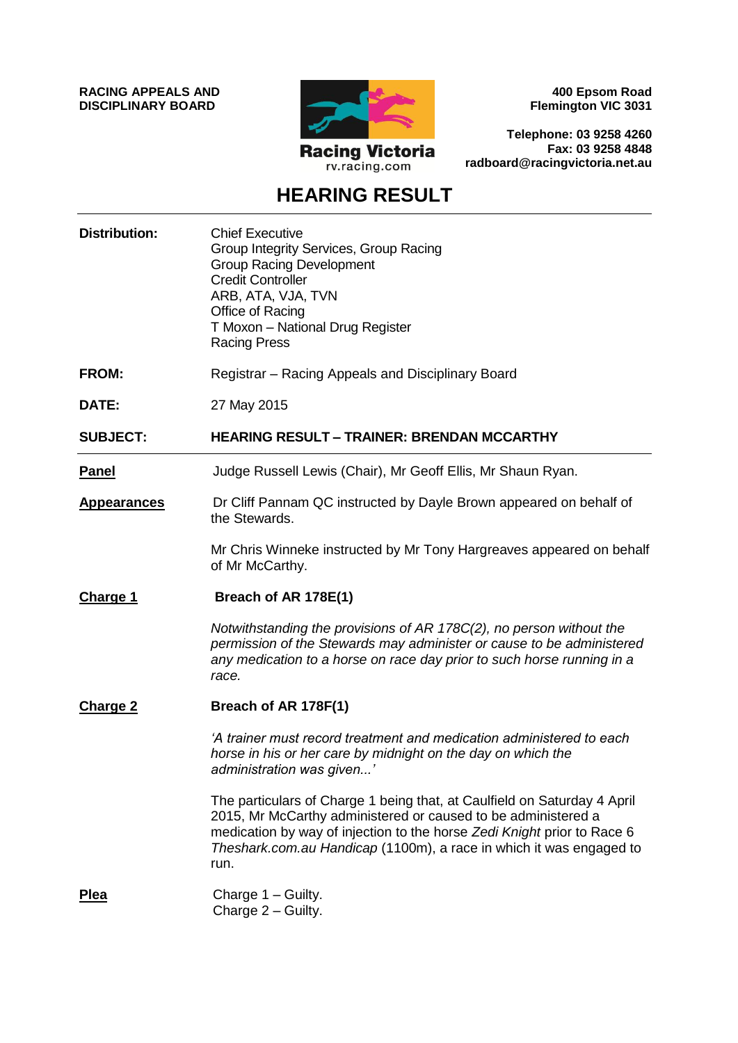**RACING APPEALS AND DISCIPLINARY BOARD**



**400 Epsom Road Flemington VIC 3031**

**Telephone: 03 9258 4260 Fax: 03 9258 4848 radboard@racingvictoria.net.au**

## **HEARING RESULT**

| <b>Distribution:</b> | <b>Chief Executive</b><br>Group Integrity Services, Group Racing<br><b>Group Racing Development</b><br><b>Credit Controller</b><br>ARB, ATA, VJA, TVN<br>Office of Racing<br>T Moxon - National Drug Register<br><b>Racing Press</b>                                                                |
|----------------------|-----------------------------------------------------------------------------------------------------------------------------------------------------------------------------------------------------------------------------------------------------------------------------------------------------|
| <b>FROM:</b>         | Registrar – Racing Appeals and Disciplinary Board                                                                                                                                                                                                                                                   |
| DATE:                | 27 May 2015                                                                                                                                                                                                                                                                                         |
| <b>SUBJECT:</b>      | <b>HEARING RESULT - TRAINER: BRENDAN MCCARTHY</b>                                                                                                                                                                                                                                                   |
| <b>Panel</b>         | Judge Russell Lewis (Chair), Mr Geoff Ellis, Mr Shaun Ryan.                                                                                                                                                                                                                                         |
| <b>Appearances</b>   | Dr Cliff Pannam QC instructed by Dayle Brown appeared on behalf of<br>the Stewards.                                                                                                                                                                                                                 |
|                      | Mr Chris Winneke instructed by Mr Tony Hargreaves appeared on behalf<br>of Mr McCarthy.                                                                                                                                                                                                             |
| <b>Charge 1</b>      | Breach of AR 178E(1)                                                                                                                                                                                                                                                                                |
|                      | Notwithstanding the provisions of AR 178C(2), no person without the<br>permission of the Stewards may administer or cause to be administered<br>any medication to a horse on race day prior to such horse running in a<br>race.                                                                     |
| <b>Charge 2</b>      | Breach of AR 178F(1)                                                                                                                                                                                                                                                                                |
|                      | 'A trainer must record treatment and medication administered to each<br>horse in his or her care by midnight on the day on which the<br>administration was given'                                                                                                                                   |
|                      | The particulars of Charge 1 being that, at Caulfield on Saturday 4 April<br>2015, Mr McCarthy administered or caused to be administered a<br>medication by way of injection to the horse Zedi Knight prior to Race 6<br>Theshark.com.au Handicap (1100m), a race in which it was engaged to<br>run. |
| <b>Plea</b>          | Charge 1 - Guilty.<br>Charge 2 - Guilty.                                                                                                                                                                                                                                                            |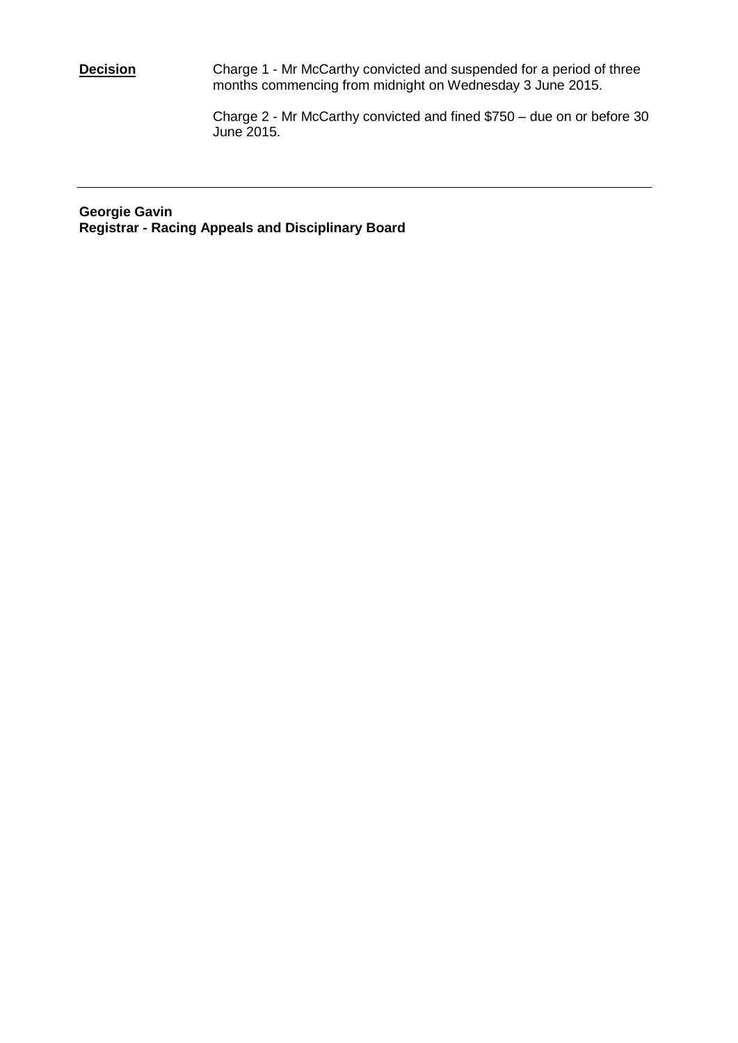**Decision Charge 1 - Mr McCarthy convicted and suspended for a period of three** months commencing from midnight on Wednesday 3 June 2015.

> Charge 2 - Mr McCarthy convicted and fined \$750 – due on or before 30 June 2015.

**Georgie Gavin Registrar - Racing Appeals and Disciplinary Board**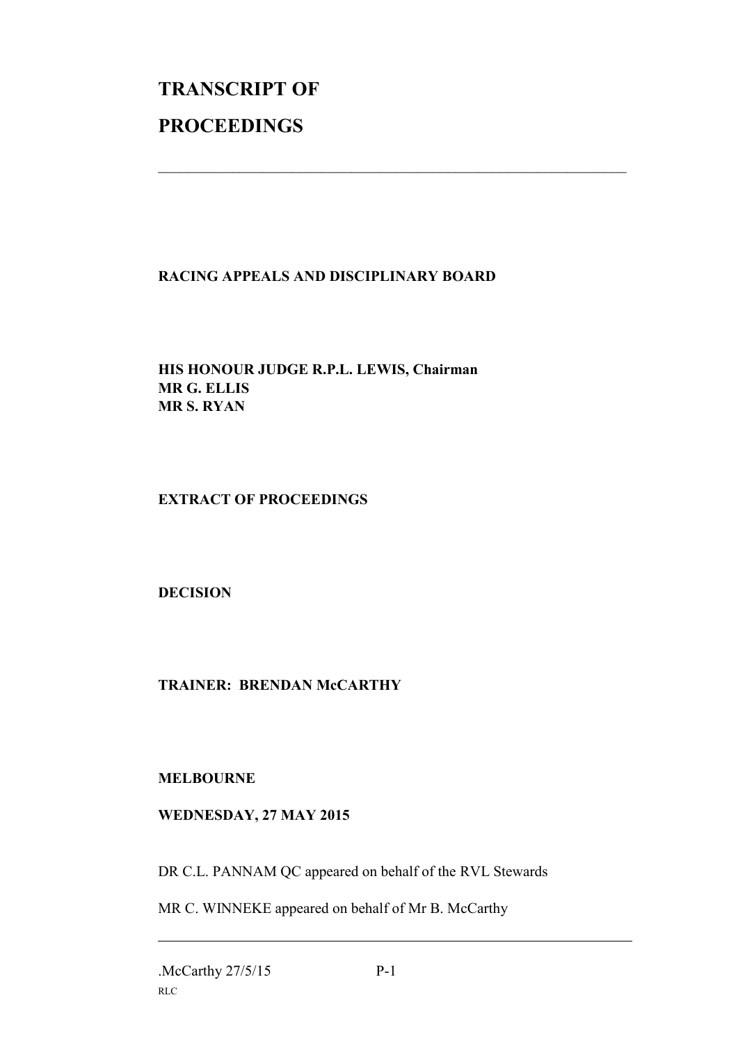## **TRANSCRIPT OF PROCEEDINGS**

## **RACING APPEALS AND DISCIPLINARY BOARD**

 $\_$  , and the set of the set of the set of the set of the set of the set of the set of the set of the set of the set of the set of the set of the set of the set of the set of the set of the set of the set of the set of th

**HIS HONOUR JUDGE R.P.L. LEWIS, Chairman MR G. ELLIS MR S. RYAN**

**EXTRACT OF PROCEEDINGS**

**DECISION**

**TRAINER: BRENDAN McCARTHY**

**MELBOURNE**

## **WEDNESDAY, 27 MAY 2015**

DR C.L. PANNAM QC appeared on behalf of the RVL Stewards

MR C. WINNEKE appeared on behalf of Mr B. McCarthy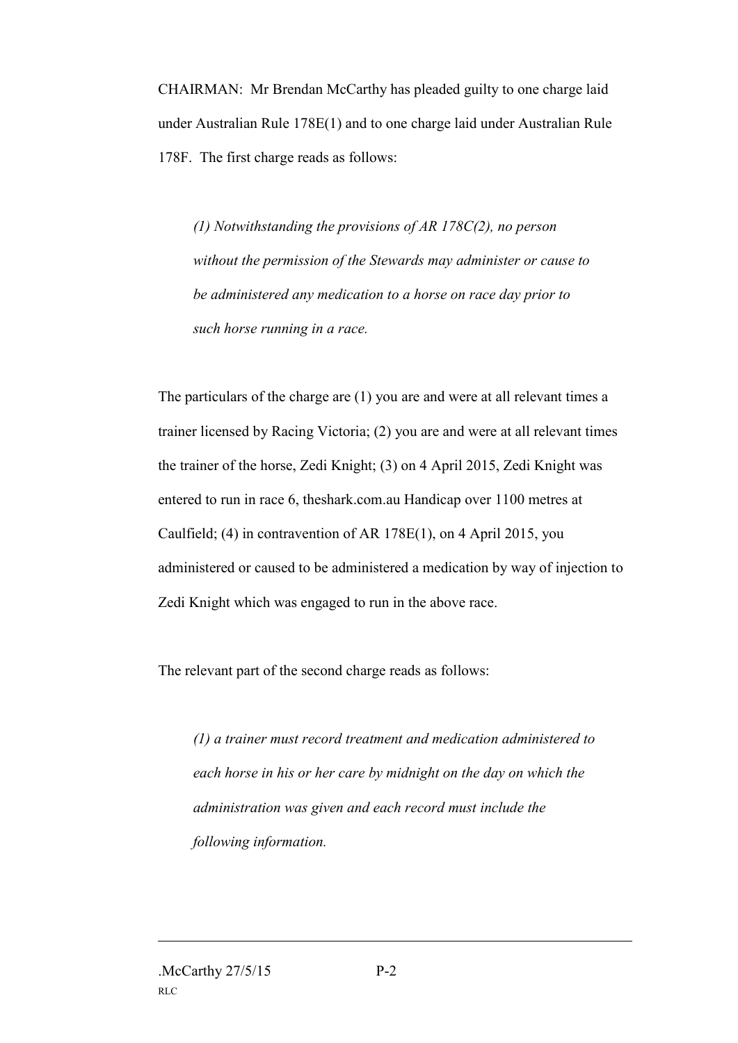CHAIRMAN: Mr Brendan McCarthy has pleaded guilty to one charge laid under Australian Rule 178E(1) and to one charge laid under Australian Rule 178F. The first charge reads as follows:

*(1) Notwithstanding the provisions of AR 178C(2), no person without the permission of the Stewards may administer or cause to be administered any medication to a horse on race day prior to such horse running in a race.*

The particulars of the charge are (1) you are and were at all relevant times a trainer licensed by Racing Victoria; (2) you are and were at all relevant times the trainer of the horse, Zedi Knight; (3) on 4 April 2015, Zedi Knight was entered to run in race 6, theshark.com.au Handicap over 1100 metres at Caulfield; (4) in contravention of AR 178E(1), on 4 April 2015, you administered or caused to be administered a medication by way of injection to Zedi Knight which was engaged to run in the above race.

The relevant part of the second charge reads as follows:

*(1) a trainer must record treatment and medication administered to each horse in his or her care by midnight on the day on which the administration was given and each record must include the following information.*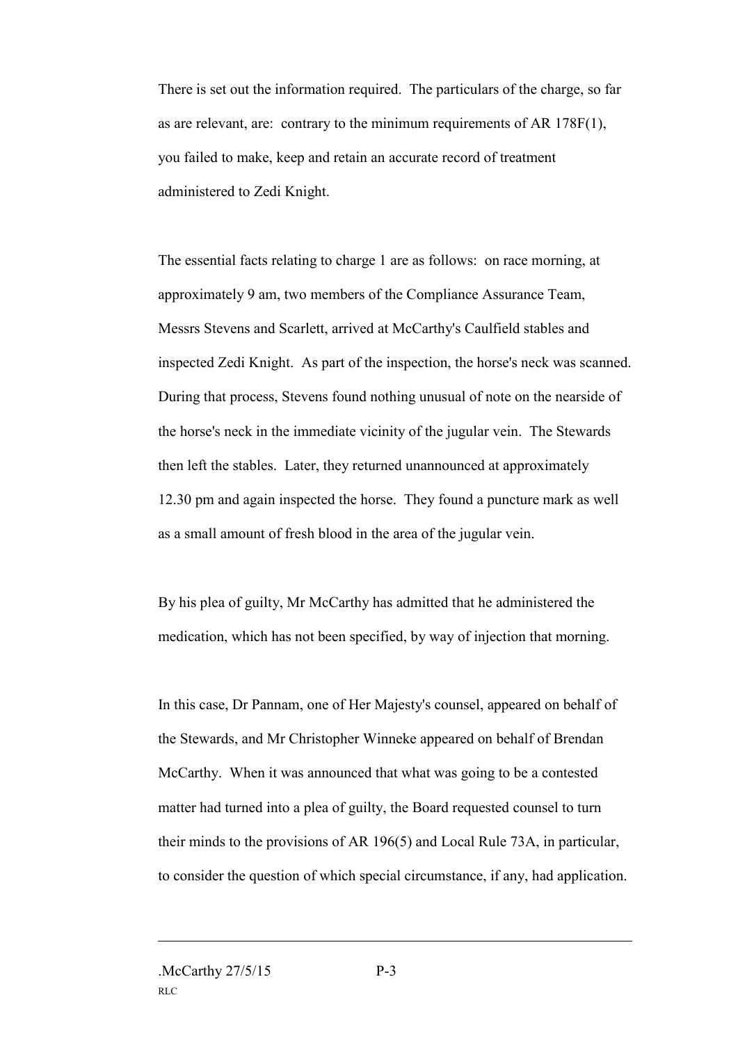There is set out the information required. The particulars of the charge, so far as are relevant, are: contrary to the minimum requirements of AR 178F(1), you failed to make, keep and retain an accurate record of treatment administered to Zedi Knight.

The essential facts relating to charge 1 are as follows: on race morning, at approximately 9 am, two members of the Compliance Assurance Team, Messrs Stevens and Scarlett, arrived at McCarthy's Caulfield stables and inspected Zedi Knight. As part of the inspection, the horse's neck was scanned. During that process, Stevens found nothing unusual of note on the nearside of the horse's neck in the immediate vicinity of the jugular vein. The Stewards then left the stables. Later, they returned unannounced at approximately 12.30 pm and again inspected the horse. They found a puncture mark as well as a small amount of fresh blood in the area of the jugular vein.

By his plea of guilty, Mr McCarthy has admitted that he administered the medication, which has not been specified, by way of injection that morning.

In this case, Dr Pannam, one of Her Majesty's counsel, appeared on behalf of the Stewards, and Mr Christopher Winneke appeared on behalf of Brendan McCarthy. When it was announced that what was going to be a contested matter had turned into a plea of guilty, the Board requested counsel to turn their minds to the provisions of AR 196(5) and Local Rule 73A, in particular, to consider the question of which special circumstance, if any, had application.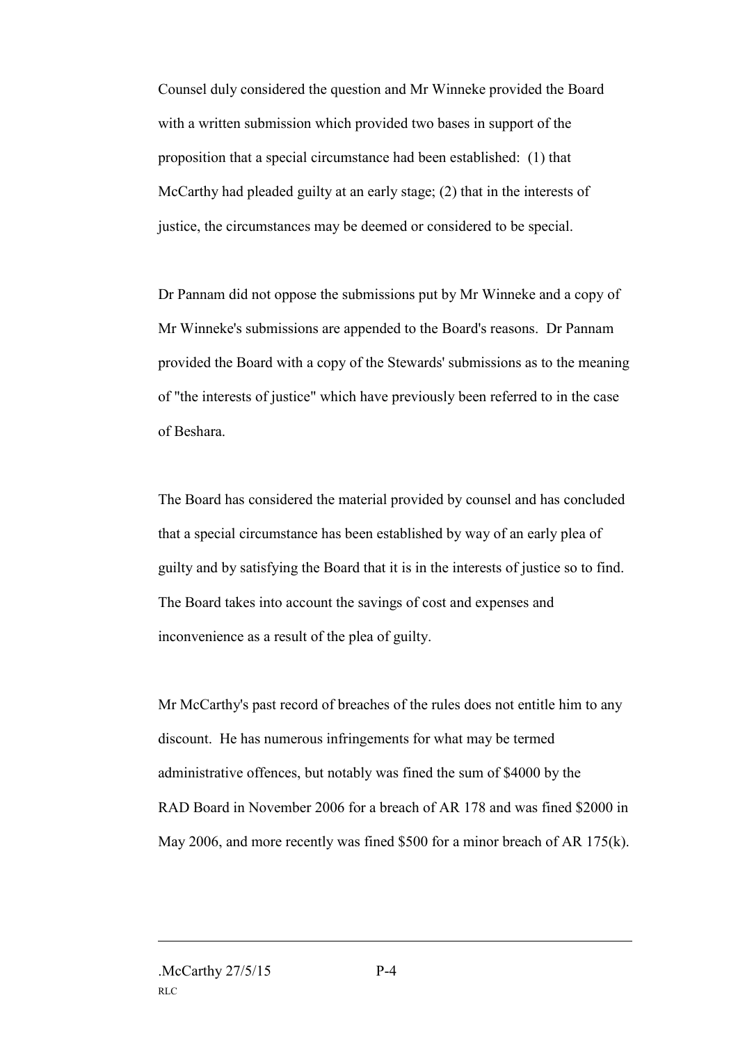Counsel duly considered the question and Mr Winneke provided the Board with a written submission which provided two bases in support of the proposition that a special circumstance had been established: (1) that McCarthy had pleaded guilty at an early stage; (2) that in the interests of justice, the circumstances may be deemed or considered to be special.

Dr Pannam did not oppose the submissions put by Mr Winneke and a copy of Mr Winneke's submissions are appended to the Board's reasons. Dr Pannam provided the Board with a copy of the Stewards' submissions as to the meaning of "the interests of justice" which have previously been referred to in the case of Beshara.

The Board has considered the material provided by counsel and has concluded that a special circumstance has been established by way of an early plea of guilty and by satisfying the Board that it is in the interests of justice so to find. The Board takes into account the savings of cost and expenses and inconvenience as a result of the plea of guilty.

Mr McCarthy's past record of breaches of the rules does not entitle him to any discount. He has numerous infringements for what may be termed administrative offences, but notably was fined the sum of \$4000 by the RAD Board in November 2006 for a breach of AR 178 and was fined \$2000 in May 2006, and more recently was fined \$500 for a minor breach of AR 175(k).